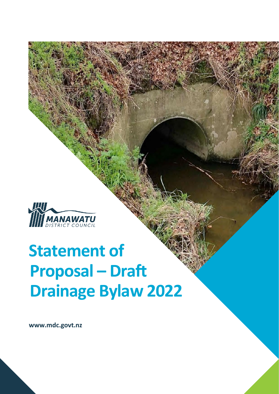

# **Statement of Proposal – Draft Drainage Bylaw 2022**

**www.mdc.govt.nz**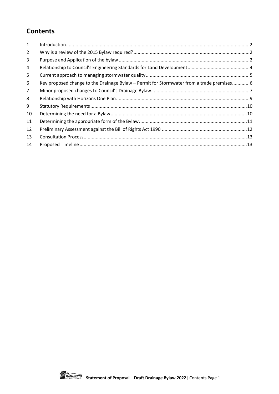## **Contents**

| 1              |                                                                                          |  |
|----------------|------------------------------------------------------------------------------------------|--|
| 2              |                                                                                          |  |
| 3              |                                                                                          |  |
| 4              |                                                                                          |  |
| 5              |                                                                                          |  |
| 6              | Key proposed change to the Drainage Bylaw – Permit for Stormwater from a trade premises6 |  |
| $\overline{7}$ |                                                                                          |  |
| 8              |                                                                                          |  |
| 9              |                                                                                          |  |
| 10             |                                                                                          |  |
| 11             |                                                                                          |  |
| 12             |                                                                                          |  |
| 13             |                                                                                          |  |
| 14             |                                                                                          |  |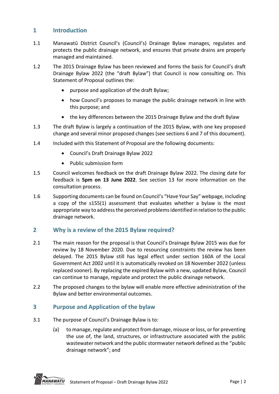## <span id="page-2-0"></span>**1 Introduction**

- 1.1 Manawatū District Council's (Council's) Drainage Bylaw manages, regulates and protects the public drainage network, and ensures that private drains are properly managed and maintained.
- 1.2 The 2015 Drainage Bylaw has been reviewed and forms the basis for Council's draft Drainage Bylaw 2022 (the "draft Bylaw") that Council is now consulting on. This Statement of Proposal outlines the:
	- purpose and application of the draft Bylaw;
	- how Council's proposes to manage the public drainage network in line with this purpose; and
	- the key differences between the 2015 Drainage Bylaw and the draft Bylaw
- 1.3 The draft Bylaw is largely a continuation of the 2015 Bylaw, with one key proposed change and several minor proposed changes (see sections 6 and 7 of this document).
- 1.4 Included with this Statement of Proposal are the following documents:
	- Council's Draft Drainage Bylaw 2022
	- Public submission form
- 1.5 Council welcomes feedback on the draft Drainage Bylaw 2022. The closing date for feedback is **5pm on 13 June 2022**. See section 13 for more information on the consultation process.
- 1.6 Supporting documents can be found on Council's "Have Your Say" webpage, including a copy of the s155(1) assessment that evaluates whether a bylaw is the most appropriate way to address the perceived problems identified in relation to the public drainage network.

#### <span id="page-2-1"></span>**2 Why is a review of the 2015 Bylaw required?**

- 2.1 The main reason for the proposal is that Council's Drainage Bylaw 2015 was due for review by 18 November 2020. Due to resourcing constraints the review has been delayed. The 2015 Bylaw still has legal effect under section 160A of the Local Government Act 2002 until it is automatically revoked on 18 November 2022 (unless replaced sooner). By replacing the expired Bylaw with a new, updated Bylaw, Council can continue to manage, regulate and protect the public drainage network.
- 2.2 The proposed changes to the bylaw will enable more effective administration of the Bylaw and better environmental outcomes.

#### <span id="page-2-2"></span>**3 Purpose and Application of the bylaw**

- 3.1 The purpose of Council's Drainage Bylaw is to:
	- (a) to manage, regulate and protect from damage, misuse or loss, or for preventing the use of, the land, structures, or infrastructure associated with the public wastewater network and the public stormwater network defined as the "public drainage network"; and

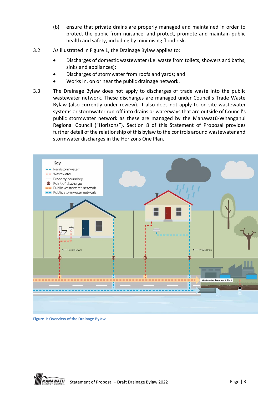- (b) ensure that private drains are properly managed and maintained in order to protect the public from nuisance, and protect, promote and maintain public health and safety, including by minimising flood risk.
- 3.2 As illustrated in Figure 1, the Drainage Bylaw applies to:
	- Discharges of domestic wastewater (i.e. waste from toilets, showers and baths, sinks and appliances);
	- Discharges of stormwater from roofs and yards; and
	- Works in, on or near the public drainage network.
- 3.3 The Drainage Bylaw does not apply to discharges of trade waste into the public wastewater network. These discharges are managed under Council's Trade Waste Bylaw (also currently under review). It also does not apply to on-site wastewater systems or stormwater run-off into drains or waterways that are outside of Council's public stormwater network as these are managed by the Manawatū-Whanganui Regional Council ("Horizons"). Section 8 of this Statement of Proposal provides further detail of the relationship of this bylaw to the controls around wastewater and stormwater discharges in the Horizons One Plan.



**Figure 1: Overview of the Drainage Bylaw**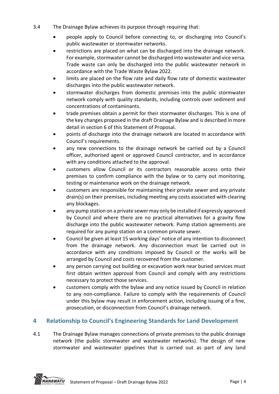- 3.4 The Drainage Bylaw achieves its purpose through requiring that:
	- people apply to Council before connecting to, or discharging into Council's public wastewater or stormwater networks.
	- restrictions are placed on what can be discharged into the drainage network. For example, stormwater cannot be discharged into wastewater and vice versa. Trade waste can only be discharged into the public wastewater network in accordance with the Trade Waste Bylaw 2022.
	- limits are placed on the flow rate and daily flow rate of domestic wastewater discharges into the public wastewater network.
	- stormwater discharges from domestic premises into the public stormwater network comply with quality standards, including controls over sediment and concentrations of contaminants.
	- trade premises obtain a permit for their stormwater discharges. This is one of the key changes proposed in the draft Drainage Bylaw and is described in more detail in section 6 of this Statement of Proposal.
	- points of discharge into the drainage network are located in accordance with Council's requirements.
	- any new connections to the drainage network be carried out by a Council officer, authorised agent or approved Council contractor, and in accordance with any conditions attached to the approval.
	- customers allow Council or its contractors reasonable access onto their premises to confirm compliance with the bylaw or to carry out monitoring, testing or maintenance work on the drainage network.
	- customers are responsible for maintaining their private sewer and any private drain(s) on their premises, including meeting any costs associated with clearing any blockages.
	- any pump station on a private sewer may only be installed if expressly approved by Council and where there are no practical alternatives for a gravity flow discharge into the public wastewater network. Pump station agreements are required for any pump station on a common private sewer.
	- Council be given at least 15 working days' notice of any intention to disconnect from the drainage network. Any disconnection must be carried out in accordance with any conditions imposed by Council or the works will be arranged by Council and costs recovered from the customer.
	- any person carrying out building or excavation work near buried services must first obtain written approval from Council and comply with any restrictions necessary to protect those services.
	- customers comply with the bylaw and any notice issued by Council in relation to any non-compliance. Failure to comply with the requirements of Council under this bylaw may result in enforcement action, including issuing of a fine, prosecution, or disconnection from Council's drainage network.

## <span id="page-4-0"></span>**4 Relationship to Council's Engineering Standards for Land Development**

4.1 The Drainage Bylaw manages connections of private premises to the public drainage network (the public stormwater and wastewater networks). The design of new stormwater and wastewater pipelines that is carried out as part of any land

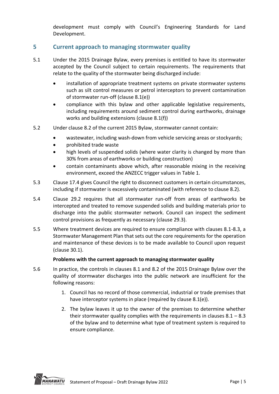development must comply with Council's Engineering Standards for Land Development.

## <span id="page-5-0"></span>**5 Current approach to managing stormwater quality**

- 5.1 Under the 2015 Drainage Bylaw, every premises is entitled to have its stormwater accepted by the Council subject to certain requirements. The requirements that relate to the quality of the stormwater being discharged include:
	- installation of appropriate treatment systems on private stormwater systems such as silt control measures or petrol interceptors to prevent contamination of stormwater run-off (clause 8.1(e))
	- compliance with this bylaw and other applicable legislative requirements, including requirements around sediment control during earthworks, drainage works and building extensions (clause 8.1(f))
- 5.2 Under clause 8.2 of the current 2015 Bylaw, stormwater cannot contain:
	- wastewater, including wash-down from vehicle servicing areas or stockyards;
	- prohibited trade waste
	- high levels of suspended solids (where water clarity is changed by more than 30% from areas of earthworks or building construction)
	- contain contaminants above which, after reasonable mixing in the receiving environment, exceed the ANZECC trigger values in Table 1.
- 5.3 Clause 17.4 gives Council the right to disconnect customers in certain circumstances, including if stormwater is excessively contaminated (with reference to clause 8.2).
- 5.4 Clause 29.2 requires that all stormwater run-off from areas of earthworks be intercepted and treated to remove suspended solids and building materials prior to discharge into the public stormwater network. Council can inspect the sediment control provisions as frequently as necessary (clause 29.3).
- 5.5 Where treatment devices are required to ensure compliance with clauses 8.1-8.3, a Stormwater Management Plan that sets out the core requirements for the operation and maintenance of these devices is to be made available to Council upon request (clause 30.1).

#### **Problems with the current approach to managing stormwater quality**

- 5.6 In practice, the controls in clauses 8.1 and 8.2 of the 2015 Drainage Bylaw over the quality of stormwater discharges into the public network are insufficient for the following reasons:
	- 1. Council has no record of those commercial, industrial or trade premises that have interceptor systems in place (required by clause 8.1(e)).
	- 2. The bylaw leaves it up to the owner of the premises to determine whether their stormwater quality complies with the requirements in clauses  $8.1 - 8.3$ of the bylaw and to determine what type of treatment system is required to ensure compliance.

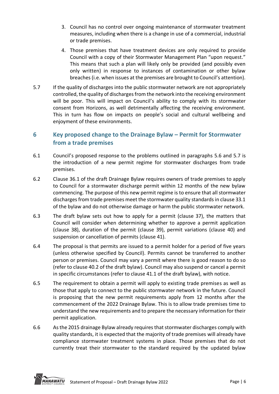- 3. Council has no control over ongoing maintenance of stormwater treatment measures, including when there is a change in use of a commercial, industrial or trade premises.
- 4. Those premises that have treatment devices are only required to provide Council with a copy of their Stormwater Management Plan "upon request." This means that such a plan will likely only be provided (and possibly even only written) in response to instances of contamination or other bylaw breaches (i.e. when issues at the premises are brought to Council's attention).
- 5.7 If the quality of discharges into the public stormwater network are not appropriately controlled, the quality of discharges from the network into the receiving environment will be poor. This will impact on Council's ability to comply with its stormwater consent from Horizons, as well detrimentally affecting the receiving environment. This in turn has flow on impacts on people's social and cultural wellbeing and enjoyment of these environments.

## <span id="page-6-0"></span>**6 Key proposed change to the Drainage Bylaw – Permit for Stormwater from a trade premises**

- 6.1 Council's proposed response to the problems outlined in paragraphs 5.6 and 5.7 is the introduction of a new permit regime for stormwater discharges from trade premises.
- 6.2 Clause 36.1 of the draft Drainage Bylaw requires owners of trade premises to apply to Council for a stormwater discharge permit within 12 months of the new bylaw commencing. The purpose of this new permit regime is to ensure that all stormwater discharges from trade premises meet the stormwater quality standards in clause 33.1 of the bylaw and do not otherwise damage or harm the public stormwater network.
- 6.3 The draft bylaw sets out how to apply for a permit (clause 37), the matters that Council will consider when determining whether to approve a permit application (clause 38), duration of the permit (clause 39), permit variations (clause 40) and suspension or cancellation of permits (clause 41).
- 6.4 The proposal is that permits are issued to a permit holder for a period of five years (unless otherwise specified by Council). Permits cannot be transferred to another person or premises. Council may vary a permit where there is good reason to do so (refer to clause 40.2 of the draft bylaw). Council may also suspend or cancel a permit in specific circumstances (refer to clause 41.1 of the draft bylaw), with notice.
- 6.5 The requirement to obtain a permit will apply to existing trade premises as well as those that apply to connect to the public stormwater network in the future. Council is proposing that the new permit requirements apply from 12 months after the commencement of the 2022 Drainage Bylaw. This is to allow trade premises time to understand the new requirements and to prepare the necessary information for their permit application.
- 6.6 As the 2015 drainage Bylaw already requires that stormwater discharges comply with quality standards, it is expected that the majority of trade premises will already have compliance stormwater treatment systems in place. Those premises that do not currently treat their stormwater to the standard required by the updated bylaw

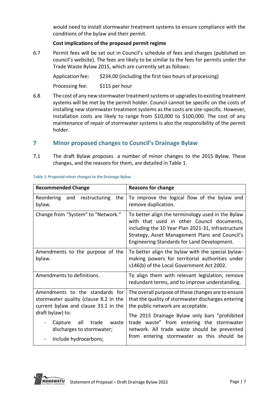would need to install stormwater treatment systems to ensure compliance with the conditions of the bylaw and their permit.

#### **Cost implications of the proposed permit regime**

6.7 Permit fees will be set out in Council's schedule of fees and charges (published on council's website). The fees are likely to be similar to the fees for permits under the Trade Waste Bylaw 2015, which are currently set as follows:

Application fee: \$234.00 (including the first two hours of processing) Processing fee: \$115 per hour

6.8 The cost of any new stormwater treatment systems or upgrades to existing treatment systems will be met by the permit holder. Council cannot be specific on the costs of installing new stormwater treatment systems as the costs are site-specific. However, installation costs are likely to range from \$10,000 to \$100,000. The cost of any maintenance of repair of stormwater systems is also the responsibility of the permit holder.

## <span id="page-7-0"></span>**7 Minor proposed changes to Council's Drainage Bylaw**

7.1 The draft Bylaw proposes a number of minor changes to the 2015 Bylaw. These changes, and the reasons for them, are detailed in Table 1.

| <b>Recommended Change</b>                                                                                        | <b>Reasons for change</b>                                                                                                                                                                                                                              |
|------------------------------------------------------------------------------------------------------------------|--------------------------------------------------------------------------------------------------------------------------------------------------------------------------------------------------------------------------------------------------------|
| the<br>Reordering and restructuring<br>bylaw.                                                                    | To improve the logical flow of the bylaw and<br>remove duplication.                                                                                                                                                                                    |
| Change from "System" to "Network."                                                                               | To better align the terminology used in the Bylaw<br>with that used in other Council documents,<br>including the 10 Year Plan 2021-31, Infrastructure<br>Strategy, Asset Management Plans and Council's<br>Engineering Standards for Land Development. |
| Amendments to the purpose of the<br>bylaw.                                                                       | To better align the bylaw with the special bylaw-<br>making powers for territorial authorities under<br>s146(b) of the Local Government Act 2002.                                                                                                      |
| Amendments to definitions.                                                                                       | To align them with relevant legislation, remove<br>redundant terms, and to improve understanding.                                                                                                                                                      |
| Amendments to the standards for<br>stormwater quality (clause 8.2 in the<br>current bylaw and clause 33.1 in the | The overall purpose of these changes are to ensure<br>that the quality of stormwater discharges entering<br>the public network are acceptable.                                                                                                         |
| draft bylaw) to:<br>all<br>Capture<br>trade<br>waste<br>discharges to stormwater;<br>Include hydrocarbons;       | The 2015 Drainage Bylaw only bars "prohibited<br>trade waste" from entering the stormwater<br>network. All trade waste should be prevented<br>from entering stormwater as this should be                                                               |

#### **Table 1: Proposed minor changes to the Drainage Bylaw**

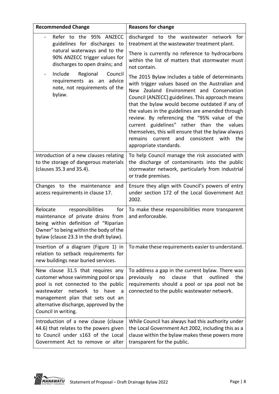| <b>Recommended Change</b>                                                                                                                                                                                                                                        | <b>Reasons for change</b>                                                                                                                                                                                                                                                                                                                                                                                                                                                                                                                     |
|------------------------------------------------------------------------------------------------------------------------------------------------------------------------------------------------------------------------------------------------------------------|-----------------------------------------------------------------------------------------------------------------------------------------------------------------------------------------------------------------------------------------------------------------------------------------------------------------------------------------------------------------------------------------------------------------------------------------------------------------------------------------------------------------------------------------------|
| Refer to the 95% ANZECC<br>guidelines for discharges to                                                                                                                                                                                                          | discharged to the wastewater network for<br>treatment at the wastewater treatment plant.                                                                                                                                                                                                                                                                                                                                                                                                                                                      |
| natural waterways and to the<br>90% ANZECC trigger values for<br>discharges to open drains; and                                                                                                                                                                  | There is currently no reference to hydrocarbons<br>within the list of matters that stormwater must<br>not contain.                                                                                                                                                                                                                                                                                                                                                                                                                            |
| Include<br>Regional<br>Council<br>$\qquad \qquad \blacksquare$<br>requirements as an advice<br>note, not requirements of the<br>bylaw.                                                                                                                           | The 2015 Bylaw includes a table of determinants<br>with trigger values based on the Australian and<br>New Zealand Environment and Conservation<br>Council (ANZECC) guidelines. This approach means<br>that the bylaw would become outdated if any of<br>the values in the guidelines are amended through<br>review. By referencing the "95% value of the<br>current guidelines" rather than the values<br>themselves, this will ensure that the bylaw always<br>remains<br>current and<br>consistent<br>with<br>the<br>appropriate standards. |
| Introduction of a new clauses relating<br>to the storage of dangerous materials<br>(clauses 35.3 and 35.4).                                                                                                                                                      | To help Council manage the risk associated with<br>the discharge of contaminants into the public<br>stormwater network, particularly from industrial<br>or trade premises.                                                                                                                                                                                                                                                                                                                                                                    |
| Changes to the maintenance and<br>access requirements in clause 17.                                                                                                                                                                                              | Ensure they align with Council's powers of entry<br>under section 172 of the Local Government Act<br>2002.                                                                                                                                                                                                                                                                                                                                                                                                                                    |
| Relocate<br>responsibilities<br>for<br>maintenance of private drains from<br>being within definition of "Riparian<br>Owner" to being within the body of the<br>bylaw (clause 23.3 in the draft bylaw).                                                           | To make these responsibilities more transparent<br>and enforceable.                                                                                                                                                                                                                                                                                                                                                                                                                                                                           |
| Insertion of a diagram (Figure 1) in<br>relation to setback requirements for<br>new buildings near buried services.                                                                                                                                              | To make these requirements easier to understand.                                                                                                                                                                                                                                                                                                                                                                                                                                                                                              |
| New clause 31.5 that requires any<br>customer whose swimming pool or spa<br>pool is not connected to the public<br>network<br>wastewater<br>have<br>to<br>a<br>management plan that sets out an<br>alternative discharge, approved by the<br>Council in writing. | To address a gap in the current bylaw. There was<br>clause<br>that<br>outlined<br>previously<br>the<br>no<br>requirements should a pool or spa pool not be<br>connected to the public wastewater network.                                                                                                                                                                                                                                                                                                                                     |
| Introduction of a new clause (clause<br>44.6) that relates to the powers given<br>to Council under s163 of the Local<br>Government Act to remove or alter                                                                                                        | While Council has always had this authority under<br>the Local Government Act 2002, including this as a<br>clause within the bylaw makes these powers more<br>transparent for the public.                                                                                                                                                                                                                                                                                                                                                     |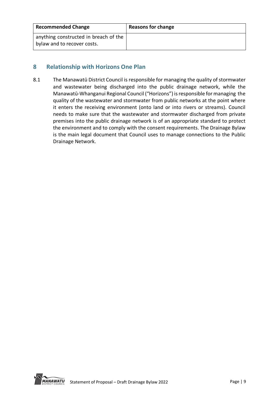| <b>Recommended Change</b>                                            | <b>Reasons for change</b> |
|----------------------------------------------------------------------|---------------------------|
| anything constructed in breach of the<br>bylaw and to recover costs. |                           |

## <span id="page-9-0"></span>**8 Relationship with Horizons One Plan**

8.1 The Manawatū District Council is responsible for managing the quality of stormwater and wastewater being discharged into the public drainage network, while the Manawatū-Whanganui Regional Council ("Horizons") is responsible for managing the quality of the wastewater and stormwater from public networks at the point where it enters the receiving environment (onto land or into rivers or streams). Council needs to make sure that the wastewater and stormwater discharged from private premises into the public drainage network is of an appropriate standard to protect the environment and to comply with the consent requirements. The Drainage Bylaw is the main legal document that Council uses to manage connections to the Public Drainage Network.

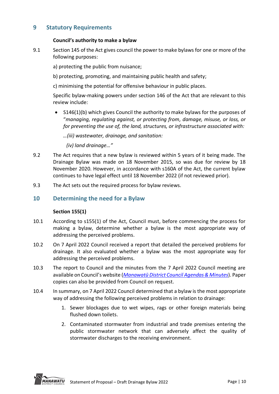## <span id="page-10-0"></span>**9 Statutory Requirements**

#### **Council's authority to make a bylaw**

- 9.1 Section 145 of the Act gives council the power to make bylaws for one or more of the following purposes:
	- a) protecting the public from nuisance;
	- b) protecting, promoting, and maintaining public health and safety;
	- c) minimising the potential for offensive behaviour in public places.

Specific bylaw-making powers under section 146 of the Act that are relevant to this review include:

• S146(1)(b) which gives Council the authority to make bylaws for the purposes of "*managing, regulating against, or protecting from, damage, misuse, or loss, or for preventing the use of, the land, structures, or infrastructure associated with:*

*…(iii) wastewater, drainage, and sanitation:*

*(iv) land drainage…"*

- 9.2 The Act requires that a new bylaw is reviewed within 5 years of it being made. The Drainage Bylaw was made on 18 November 2015, so was due for review by 18 November 2020. However, in accordance with s160A of the Act, the current bylaw continues to have legal effect until 18 November 2022 (if not reviewed prior).
- 9.3 The Act sets out the required process for bylaw reviews.

#### <span id="page-10-1"></span>**10 Determining the need for a Bylaw**

#### **Section 155(1)**

- 10.1 According to s155(1) of the Act, Council must, before commencing the process for making a bylaw, determine whether a bylaw is the most appropriate way of addressing the perceived problems.
- 10.2 On 7 April 2022 Council received a report that detailed the perceived problems for drainage. It also evaluated whether a bylaw was the most appropriate way for addressing the perceived problems.
- 10.3 The report to Council and the minutes from the 7 April 2022 Council meeting are available on Council's website (*Manawatū District Council [Agendas & Minutes](https://www.mdc.govt.nz/about-council/meetings-agendas-and-minutes/council-and-committee-agendas-and-minutes/manawatu-district-council)*). Paper copies can also be provided from Council on request.
- 10.4 In summary, on 7 April 2022 Council determined that a bylaw is the most appropriate way of addressing the following perceived problems in relation to drainage:
	- 1. Sewer blockages due to wet wipes, rags or other foreign materials being flushed down toilets.
	- 2. Contaminated stormwater from industrial and trade premises entering the public stormwater network that can adversely affect the quality of stormwater discharges to the receiving environment.

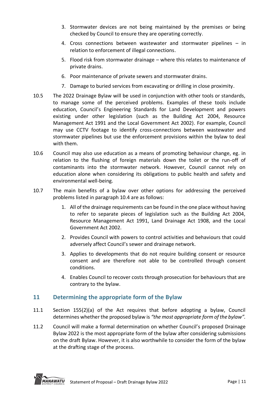- 3. Stormwater devices are not being maintained by the premises or being checked by Council to ensure they are operating correctly.
- 4. Cross connections between wastewater and stormwater pipelines in relation to enforcement of illegal connections.
- 5. Flood risk from stormwater drainage where this relates to maintenance of private drains.
- 6. Poor maintenance of private sewers and stormwater drains.
- 7. Damage to buried services from excavating or drilling in close proximity.
- 10.5 The 2022 Drainage Bylaw will be used in conjunction with other tools or standards, to manage some of the perceived problems. Examples of these tools include education, Council's Engineering Standards for Land Development and powers existing under other legislation (such as the Building Act 2004, Resource Management Act 1991 and the Local Government Act 2002). For example, Council may use CCTV footage to identify cross-connections between wastewater and stormwater pipelines but use the enforcement provisions within the bylaw to deal with them.
- 10.6 Council may also use education as a means of promoting behaviour change, eg. in relation to the flushing of foreign materials down the toilet or the run-off of contaminants into the stormwater network. However, Council cannot rely on education alone when considering its obligations to public health and safety and environmental well-being.
- 10.7 The main benefits of a bylaw over other options for addressing the perceived problems listed in paragraph 10.4 are as follows:
	- 1. All of the drainage requirements can be found in the one place without having to refer to separate pieces of legislation such as the Building Act 2004, Resource Management Act 1991, Land Drainage Act 1908, and the Local Government Act 2002.
	- 2. Provides Council with powers to control activities and behaviours that could adversely affect Council's sewer and drainage network.
	- 3. Applies to developments that do not require building consent or resource consent and are therefore not able to be controlled through consent conditions.
	- 4. Enables Council to recover costs through prosecution for behaviours that are contrary to the bylaw.

## <span id="page-11-0"></span>**11 Determining the appropriate form of the Bylaw**

- 11.1 Section 155(2)(a) of the Act requires that before adopting a bylaw, Council determines whether the proposed bylaw is *"the most appropriate form of the bylaw".*
- 11.2 Council will make a formal determination on whether Council's proposed Drainage Bylaw 2022 is the most appropriate form of the bylaw after considering submissions on the draft Bylaw. However, it is also worthwhile to consider the form of the bylaw at the drafting stage of the process.

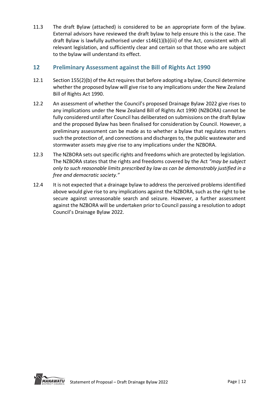11.3 The draft Bylaw (attached) is considered to be an appropriate form of the bylaw. External advisors have reviewed the draft bylaw to help ensure this is the case. The draft Bylaw is lawfully authorised under s146(1)(b)(iii) of the Act, consistent with all relevant legislation, and sufficiently clear and certain so that those who are subject to the bylaw will understand its effect.

## <span id="page-12-0"></span>**12 Preliminary Assessment against the Bill of Rights Act 1990**

- 12.1 Section 155(2)(b) of the Act requires that before adopting a bylaw, Council determine whether the proposed bylaw will give rise to any implications under the New Zealand Bill of Rights Act 1990.
- 12.2 An assessment of whether the Council's proposed Drainage Bylaw 2022 give rises to any implications under the New Zealand Bill of Rights Act 1990 (NZBORA) cannot be fully considered until after Council has deliberated on submissions on the draft Bylaw and the proposed Bylaw has been finalised for consideration by Council. However, a preliminary assessment can be made as to whether a bylaw that regulates matters such the protection of, and connections and discharges to, the public wastewater and stormwater assets may give rise to any implications under the NZBORA.
- 12.3 The NZBORA sets out specific rights and freedoms which are protected by legislation. The NZBORA states that the rights and freedoms covered by the Act *"may be subject only to such reasonable limits prescribed by law as can be demonstrably justified in a free and democratic society."*
- 12.4 It is not expected that a drainage bylaw to address the perceived problems identified above would give rise to any implications against the NZBORA, such as the right to be secure against unreasonable search and seizure. However, a further assessment against the NZBORA will be undertaken prior to Council passing a resolution to adopt Council's Drainage Bylaw 2022.